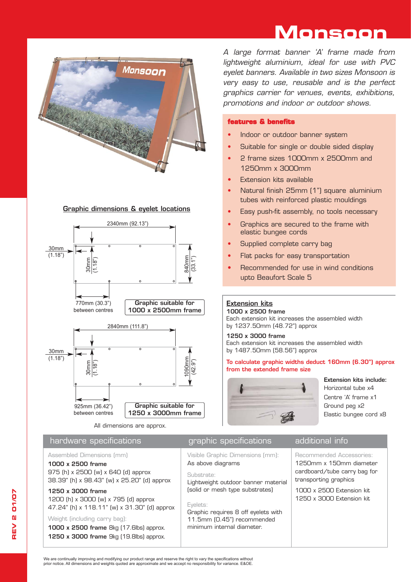# **Monsoon**



# Graphic dimensions & eyelet locations



All dimensions are approx.

# hardware specifications example are graphic specifications additional info

Assembled Dimensions (mm)

## 1000 x 2500 frame

975 (h) x 2500 (w) x 640 (d) approx 38.39" (h) x 98.43" (w) x 25.20" (d) approx

# 1250 x 3000 frame

1200 (h) x 3000 (w) x 795 (d) approx 47.24" (h) x 118.11" (w) x 31.30" (d) approx

# Weight (including carry bag):

1000 x 2500 frame 8kg (17.6lbs) approx. 1250 x 3000 frame 9kg (19.8lbs) approx.

*A large format banner 'A' frame made from lightweight aluminium, ideal for use with PVC eyelet banners. Available in two sizes Monsoon is very easy to use, reusable and is the perfect graphics carrier for venues, events, exhibitions, promotions and indoor or outdoor shows.* 

# **features & benefits**

- Indoor or outdoor banner system
- Suitable for single or double sided display
- **•** 2 frame sizes 1000mm x 2500mm and 1250mm x 3000mm
- Extension kits available
- **•** Natural finish 25mm (1") square aluminium tubes with reinforced plastic mouldings
- Easy push-fit assembly, no tools necessary
- Graphics are secured to the frame with elastic bungee cords
- Supplied complete carry bag
- Flat packs for easy transportation
- Recommended for use in wind conditions upto Beaufort Scale 5

# Extension kits

1000 x 2500 frame Each extension kit increases the assembled width by 1237.50mm (48.72") approx

1250 x 3000 frame Each extension kit increases the assembled width by 1487.50mm (58.56") approx

To calculate graphic widths deduct 160mm (6.30") approx from the extended frame size



Extension kits include: Horizontal tube x4 Centre 'A' frame x1 Ground peg x2 Elastic bungee cord x8

Visible Graphic Dimensions (mm): As above diagrams

Substrate:

### Lightweight outdoor banner material

(solid or mesh type substrates) Eyelets:

Graphic requires 8 off eyelets with 11.5mm (0.45") recommended minimum internal diameter.

# Recommended Accessories: 1250mm x 150mm diameter

cardboard/tube carry bag for transporting graphics 1000 x 2500 Extension kit 1250 x 3000 Extension kit

We are continually improving and modifying our product range and reserve the right to vary the specifications without prior notice. All dimensions and weights quoted are approximate and we accept no responsibility for variance. E&OE.